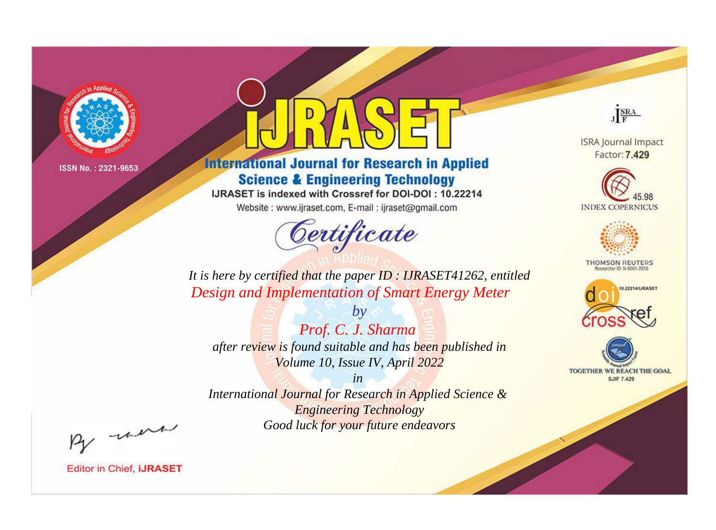

# **International Journal for Research in Applied Science & Engineering Technology**

IJRASET is indexed with Crossref for DOI-DOI: 10.22214

Website: www.ijraset.com, E-mail: ijraset@gmail.com



JERA

**ISRA Journal Impact** Factor: 7.429





**THOMSON REUTERS** 



TOGETHER WE REACH THE GOAL **SJIF 7.429** 

*It is here by certified that the paper ID : IJRASET41262, entitled Design and Implementation of Smart Energy Meter*

*Prof. C. J. Sharma after review is found suitable and has been published in Volume 10, Issue IV, April 2022*

*by*

*in* 

*International Journal for Research in Applied Science & Engineering Technology Good luck for your future endeavors*

By morn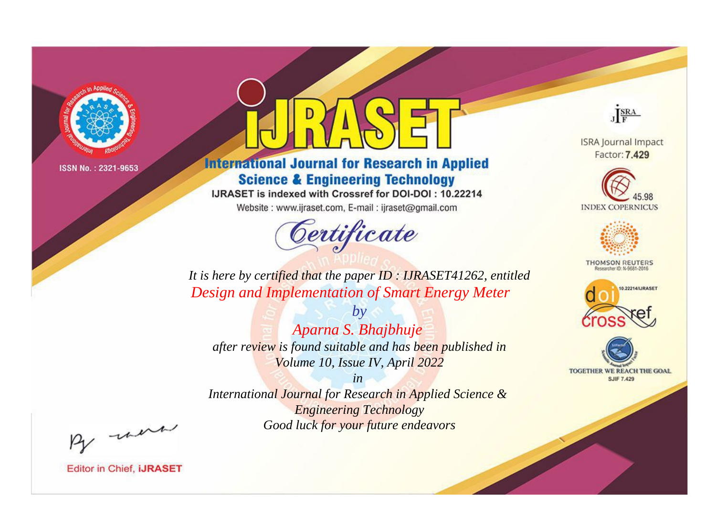

# **International Journal for Research in Applied Science & Engineering Technology**

IJRASET is indexed with Crossref for DOI-DOI: 10.22214

Website: www.ijraset.com, E-mail: ijraset@gmail.com



JERA

**ISRA Journal Impact** Factor: 7.429





**THOMSON REUTERS** 



TOGETHER WE REACH THE GOAL **SJIF 7.429** 

It is here by certified that the paper ID: IJRASET41262, entitled Design and Implementation of Smart Energy Meter

Aparna S. Bhajbhuje after review is found suitable and has been published in Volume 10, Issue IV, April 2022

 $b\nu$ 

 $in$ International Journal for Research in Applied Science & **Engineering Technology** Good luck for your future endeavors

By morn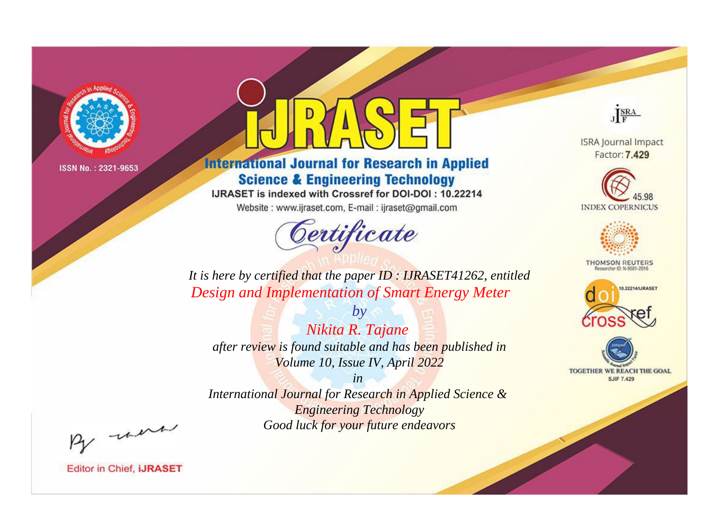

# **International Journal for Research in Applied Science & Engineering Technology**

IJRASET is indexed with Crossref for DOI-DOI: 10.22214

Website: www.ijraset.com, E-mail: ijraset@gmail.com



JERA

**ISRA Journal Impact** Factor: 7.429





**THOMSON REUTERS** 



TOGETHER WE REACH THE GOAL **SJIF 7.429** 

It is here by certified that the paper ID: IJRASET41262, entitled Design and Implementation of Smart Energy Meter

Nikita R. Tajane after review is found suitable and has been published in Volume 10, Issue IV, April 2022

 $b\nu$ 

 $in$ International Journal for Research in Applied Science & **Engineering Technology** Good luck for your future endeavors

By morn